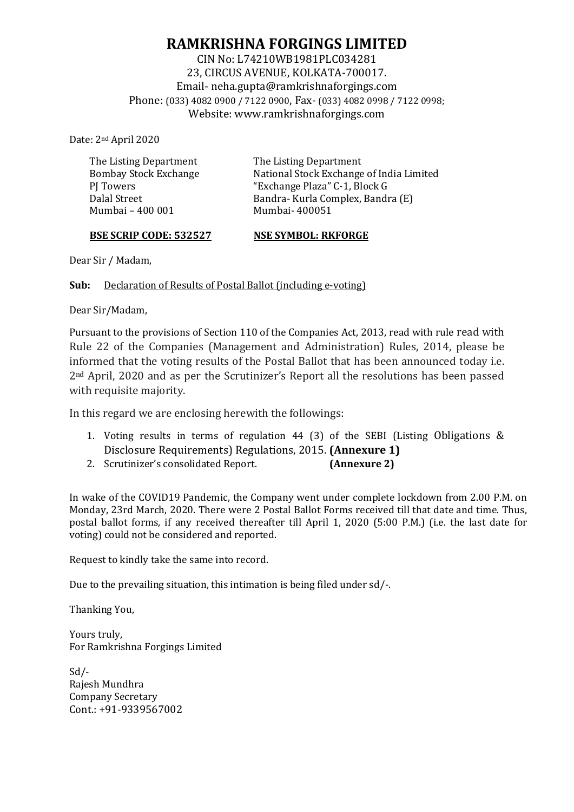# **RAMKRISHNA FORGINGS LIMITED**

CIN No: L74210WB1981PLC034281 23, CIRCUS AVENUE, KOLKATA-700017. Email- [neha.gupta@ramkrishnaforgings.com](mailto:neha.gupta@ramkrishnaforgings.com) Phone: (033) 4082 0900 / 7122 0900, Fax- (033) 4082 0998 / 7122 0998; Website: www.ramkrishnaforgings.com

Date: 2nd April 2020

The Listing Department Bombay Stock Exchange PI Towers Dalal Street Mumbai – 400 001

The Listing Department National Stock Exchange of India Limited "Exchange Plaza" C-1, Block G Bandra- Kurla Complex, Bandra (E) Mumbai- 400051

#### **BSE SCRIP CODE: 532527**

**NSE SYMBOL: RKFORGE** 

Dear Sir / Madam,

**Sub:** Declaration of Results of Postal Ballot (including e-voting)

Dear Sir/Madam,

Pursuant to the provisions of Section 110 of the Companies Act, 2013, read with rule read with Rule 22 of the Companies (Management and Administration) Rules, 2014, please be informed that the voting results of the Postal Ballot that has been announced today i.e. 2nd April, 2020 and as per the Scrutinizer's Report all the resolutions has been passed with requisite majority.

In this regard we are enclosing herewith the followings:

- 1. Voting results in terms of regulation 44 (3) of the SEBI (Listing Obligations & Disclosure Requirements) Regulations, 2015. **(Annexure 1)**
- 2. Scrutinizer's consolidated Report. **(Annexure 2)**

In wake of the COVID19 Pandemic, the Company went under complete lockdown from 2.00 P.M. on Monday, 23rd March, 2020. There were 2 Postal Ballot Forms received till that date and time. Thus, postal ballot forms, if any received thereafter till April 1, 2020 (5:00 P.M.) (i.e. the last date for voting) could not be considered and reported.

Request to kindly take the same into record.

Due to the prevailing situation, this intimation is being filed under sd/-.

Thanking You,

Yours truly, For Ramkrishna Forgings Limited

Sd/- Rajesh Mundhra Company Secretary Cont.: +91-9339567002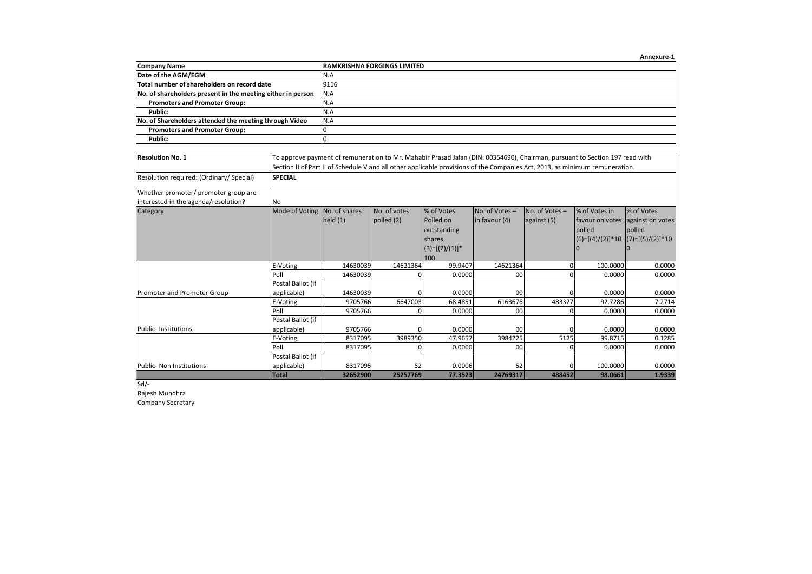|                                                             | Annexure-1                          |
|-------------------------------------------------------------|-------------------------------------|
| <b>Company Name</b>                                         | <b>IRAMKRISHNA FORGINGS LIMITED</b> |
| Date of the AGM/EGM                                         | N.A                                 |
| Total number of shareholders on record date                 | 9116                                |
| No. of shareholders present in the meeting either in person | N.A                                 |
| <b>Promoters and Promoter Group:</b>                        | N.A                                 |
| Public:                                                     | N.A                                 |
| No. of Shareholders attended the meeting through Video      | IN.A                                |
| <b>Promoters and Promoter Group:</b>                        |                                     |
| Public:                                                     |                                     |

| <b>Resolution No. 1</b>                                                      |                              | To approve payment of remuneration to Mr. Mahabir Prasad Jalan (DIN: 00354690), Chairman, pursuant to Section 197 read with<br>Section II of Part II of Schedule V and all other applicable provisions of the Companies Act, 2013, as minimum remuneration. |              |                   |               |                |                    |                    |  |  |  |  |
|------------------------------------------------------------------------------|------------------------------|-------------------------------------------------------------------------------------------------------------------------------------------------------------------------------------------------------------------------------------------------------------|--------------|-------------------|---------------|----------------|--------------------|--------------------|--|--|--|--|
| Resolution required: (Ordinary/ Special)                                     | <b>SPECIAL</b>               |                                                                                                                                                                                                                                                             |              |                   |               |                |                    |                    |  |  |  |  |
| Whether promoter/ promoter group are<br>interested in the agenda/resolution? | <b>INo</b>                   |                                                                                                                                                                                                                                                             |              |                   |               |                |                    |                    |  |  |  |  |
| Category                                                                     | Mode of Voting No. of shares |                                                                                                                                                                                                                                                             | No. of votes | % of Votes        | No. of Votes- | No. of Votes - | % of Votes in      | % of Votes         |  |  |  |  |
|                                                                              |                              | held $(1)$                                                                                                                                                                                                                                                  | polled (2)   | Polled on         | in favour (4) | against (5)    | favour on votes    | against on votes   |  |  |  |  |
|                                                                              |                              |                                                                                                                                                                                                                                                             |              | outstanding       |               |                | polled             | polled             |  |  |  |  |
|                                                                              |                              |                                                                                                                                                                                                                                                             |              | shares            |               |                | $(6)=[(4)/(2)]*10$ | $(7)=[(5)/(2)]*10$ |  |  |  |  |
|                                                                              |                              |                                                                                                                                                                                                                                                             |              | $(3)=[(2)/(1)]$ * |               |                |                    |                    |  |  |  |  |
|                                                                              |                              |                                                                                                                                                                                                                                                             |              | 100               |               |                |                    |                    |  |  |  |  |
|                                                                              | E-Voting                     | 14630039                                                                                                                                                                                                                                                    | 14621364     | 99.9407           | 14621364      | $\Omega$       | 100.0000           | 0.0000             |  |  |  |  |
|                                                                              | Poll                         | 14630039                                                                                                                                                                                                                                                    | $\Omega$     | 0.0000            | 00            | $\Omega$       | 0.0000             | 0.0000             |  |  |  |  |
|                                                                              | Postal Ballot (if            |                                                                                                                                                                                                                                                             |              |                   |               |                |                    |                    |  |  |  |  |
| Promoter and Promoter Group                                                  | applicable)                  | 14630039                                                                                                                                                                                                                                                    | $\Omega$     | 0.0000            | 00            | $\Omega$       | 0.0000             | 0.0000             |  |  |  |  |
|                                                                              | E-Voting                     | 9705766                                                                                                                                                                                                                                                     | 6647003      | 68.4851           | 6163676       | 483327         | 92.7286            | 7.2714             |  |  |  |  |
|                                                                              | Poll                         | 9705766                                                                                                                                                                                                                                                     | $\Omega$     | 0.0000            | 00            | $\Omega$       | 0.0000             | 0.0000             |  |  |  |  |
|                                                                              | Postal Ballot (if            |                                                                                                                                                                                                                                                             |              |                   |               |                |                    |                    |  |  |  |  |
| <b>Public-Institutions</b>                                                   | applicable)                  | 9705766                                                                                                                                                                                                                                                     | $\Omega$     | 0.0000            | 00            | $\Omega$       | 0.0000             | 0.0000             |  |  |  |  |
|                                                                              | E-Voting                     | 8317095                                                                                                                                                                                                                                                     | 3989350      | 47.9657           | 3984225       | 5125           | 99.8715            | 0.1285             |  |  |  |  |
|                                                                              | Poll                         | 8317095                                                                                                                                                                                                                                                     | $\Omega$     | 0.0000            | 00            | <sup>0</sup>   | 0.0000             | 0.0000             |  |  |  |  |
|                                                                              | Postal Ballot (if            |                                                                                                                                                                                                                                                             |              |                   |               |                |                    |                    |  |  |  |  |
| <b>Public- Non Institutions</b>                                              | applicable)                  | 8317095                                                                                                                                                                                                                                                     | 52           | 0.0006            | 52            | $\Omega$       | 100.0000           | 0.0000             |  |  |  |  |
|                                                                              | <b>Total</b>                 | 32652900                                                                                                                                                                                                                                                    | 25257769     | 77.3523           | 24769317      | 488452         | 98.0661            | 1.9339             |  |  |  |  |

 $Sd/-$ 

Rajesh Mundhra

Company Secretary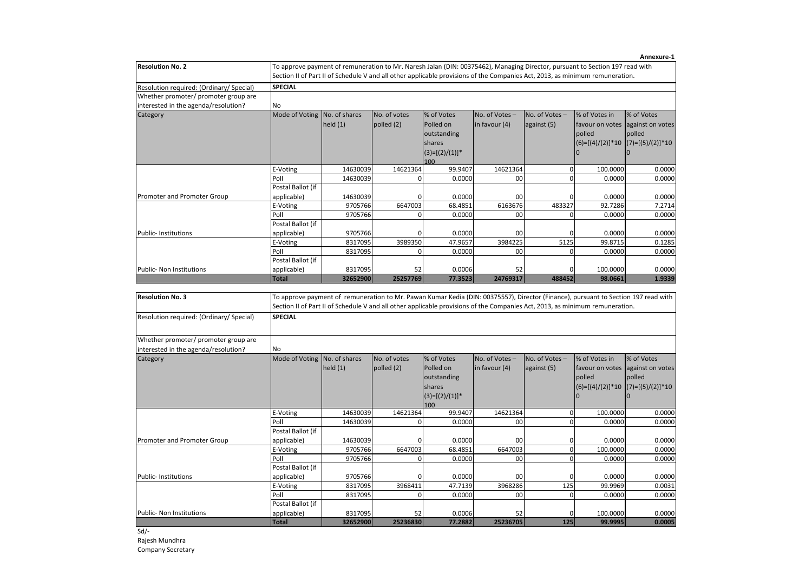| <b>Resolution No. 2</b>                                                                                                                                                                     | To approve payment of remuneration to Mr. Naresh Jalan (DIN: 00375462), Managing Director, pursuant to Section 197 read with |                     |                     |                   |                |                                                                                                                                                                                                                                                                                          |                                  |                                                                                                                                  |  |  |  |  |
|---------------------------------------------------------------------------------------------------------------------------------------------------------------------------------------------|------------------------------------------------------------------------------------------------------------------------------|---------------------|---------------------|-------------------|----------------|------------------------------------------------------------------------------------------------------------------------------------------------------------------------------------------------------------------------------------------------------------------------------------------|----------------------------------|----------------------------------------------------------------------------------------------------------------------------------|--|--|--|--|
|                                                                                                                                                                                             |                                                                                                                              |                     |                     |                   |                | Section II of Part II of Schedule V and all other applicable provisions of the Companies Act, 2013, as minimum remuneration.                                                                                                                                                             |                                  |                                                                                                                                  |  |  |  |  |
| Resolution required: (Ordinary/ Special)                                                                                                                                                    | <b>SPECIAL</b>                                                                                                               |                     |                     |                   |                |                                                                                                                                                                                                                                                                                          |                                  |                                                                                                                                  |  |  |  |  |
| Whether promoter/ promoter group are                                                                                                                                                        |                                                                                                                              |                     |                     |                   |                |                                                                                                                                                                                                                                                                                          |                                  |                                                                                                                                  |  |  |  |  |
| interested in the agenda/resolution?                                                                                                                                                        | No                                                                                                                           |                     |                     |                   |                |                                                                                                                                                                                                                                                                                          |                                  |                                                                                                                                  |  |  |  |  |
| Category                                                                                                                                                                                    | Mode of Voting No. of shares                                                                                                 |                     | No. of votes        | % of Votes        | No. of Votes-  | No. of Votes-                                                                                                                                                                                                                                                                            | % of Votes in                    | % of Votes                                                                                                                       |  |  |  |  |
|                                                                                                                                                                                             |                                                                                                                              | held $(1)$          | polled (2)          | Polled on         | in favour (4)  | against (5)                                                                                                                                                                                                                                                                              | favour on votes against on votes |                                                                                                                                  |  |  |  |  |
|                                                                                                                                                                                             |                                                                                                                              |                     |                     | outstanding       |                |                                                                                                                                                                                                                                                                                          | polled                           | polled                                                                                                                           |  |  |  |  |
|                                                                                                                                                                                             |                                                                                                                              |                     |                     | shares            |                |                                                                                                                                                                                                                                                                                          | $(6)=[(4)/(2)]*10$               | $(7)=[(5)/(2)]*10$                                                                                                               |  |  |  |  |
|                                                                                                                                                                                             |                                                                                                                              |                     |                     | $(3)=[(2)/(1)]$ * |                |                                                                                                                                                                                                                                                                                          | $\bf{0}$                         | $\mathbf 0$                                                                                                                      |  |  |  |  |
|                                                                                                                                                                                             |                                                                                                                              |                     |                     | 100               |                |                                                                                                                                                                                                                                                                                          |                                  |                                                                                                                                  |  |  |  |  |
|                                                                                                                                                                                             | E-Voting                                                                                                                     | 14630039            | 14621364            | 99.9407           | 14621364       | $\mathbf 0$                                                                                                                                                                                                                                                                              | 100.0000                         | 0.0000                                                                                                                           |  |  |  |  |
|                                                                                                                                                                                             | Poll                                                                                                                         | 14630039            | 0                   | 0.0000            | 00             | $\Omega$                                                                                                                                                                                                                                                                                 | 0.0000                           | 0.0000                                                                                                                           |  |  |  |  |
|                                                                                                                                                                                             | Postal Ballot (if                                                                                                            |                     |                     |                   |                |                                                                                                                                                                                                                                                                                          |                                  |                                                                                                                                  |  |  |  |  |
| Promoter and Promoter Group                                                                                                                                                                 | applicable)                                                                                                                  | 14630039            | 0                   | 0.0000            | 00             | $\overline{0}$                                                                                                                                                                                                                                                                           | 0.0000                           | 0.0000                                                                                                                           |  |  |  |  |
|                                                                                                                                                                                             | E-Voting                                                                                                                     | 9705766             | 6647003             | 68.4851           | 6163676        | 483327                                                                                                                                                                                                                                                                                   | 92.7286                          | 7.2714                                                                                                                           |  |  |  |  |
|                                                                                                                                                                                             | Poll                                                                                                                         | 9705766             | $\mathbf 0$         | 0.0000            | 00             | $\Omega$                                                                                                                                                                                                                                                                                 | 0.0000                           | 0.0000                                                                                                                           |  |  |  |  |
|                                                                                                                                                                                             | Postal Ballot (if                                                                                                            |                     |                     |                   |                |                                                                                                                                                                                                                                                                                          |                                  |                                                                                                                                  |  |  |  |  |
| Public- Institutions                                                                                                                                                                        | applicable)                                                                                                                  | 9705766             | 0                   | 0.0000            | 00             | $\mathbf{0}$                                                                                                                                                                                                                                                                             | 0.0000                           | 0.0000                                                                                                                           |  |  |  |  |
|                                                                                                                                                                                             | E-Voting                                                                                                                     | 8317095             | 3989350             | 47.9657           | 3984225        | 5125                                                                                                                                                                                                                                                                                     | 99.8715                          | 0.1285                                                                                                                           |  |  |  |  |
|                                                                                                                                                                                             | Poll                                                                                                                         | 8317095             | $\mathbf 0$         | 0.0000            | 00             | $\overline{0}$                                                                                                                                                                                                                                                                           | 0.0000                           | 0.0000                                                                                                                           |  |  |  |  |
|                                                                                                                                                                                             | Postal Ballot (if                                                                                                            |                     |                     |                   |                |                                                                                                                                                                                                                                                                                          |                                  |                                                                                                                                  |  |  |  |  |
|                                                                                                                                                                                             |                                                                                                                              |                     |                     |                   |                |                                                                                                                                                                                                                                                                                          |                                  |                                                                                                                                  |  |  |  |  |
|                                                                                                                                                                                             | applicable)<br><b>Total</b>                                                                                                  | 8317095<br>32652900 | 52<br>25257769      | 0.0006<br>77.3523 | 52<br>24769317 | $\Omega$<br>488452<br>To approve payment of remuneration to Mr. Pawan Kumar Kedia (DIN: 00375557), Director (Finance), pursuant to Section 197 read with<br>Section II of Part II of Schedule V and all other applicable provisions of the Companies Act, 2013, as minimum remuneration. | 100.0000<br>98.0661              |                                                                                                                                  |  |  |  |  |
|                                                                                                                                                                                             | <b>SPECIAL</b>                                                                                                               |                     |                     |                   |                |                                                                                                                                                                                                                                                                                          |                                  |                                                                                                                                  |  |  |  |  |
|                                                                                                                                                                                             | No                                                                                                                           |                     |                     |                   |                |                                                                                                                                                                                                                                                                                          |                                  |                                                                                                                                  |  |  |  |  |
|                                                                                                                                                                                             | Mode of Voting No. of shares                                                                                                 |                     | No. of votes        | % of Votes        | No. of Votes-  | No. of Votes-                                                                                                                                                                                                                                                                            | % of Votes in                    | % of Votes                                                                                                                       |  |  |  |  |
| Public- Non Institutions<br><b>Resolution No. 3</b><br>Resolution required: (Ordinary/ Special)<br>Whether promoter/ promoter group are<br>interested in the agenda/resolution?<br>Category |                                                                                                                              | held(1)             | polled (2)          | Polled on         | in favour (4)  | against (5)                                                                                                                                                                                                                                                                              | favour on votes against on votes |                                                                                                                                  |  |  |  |  |
|                                                                                                                                                                                             |                                                                                                                              |                     |                     | outstanding       |                |                                                                                                                                                                                                                                                                                          | polled                           | polled                                                                                                                           |  |  |  |  |
|                                                                                                                                                                                             |                                                                                                                              |                     |                     | shares            |                |                                                                                                                                                                                                                                                                                          | $(6)=[(4)/(2)]*10$               |                                                                                                                                  |  |  |  |  |
|                                                                                                                                                                                             |                                                                                                                              |                     |                     | $(3)=[(2)/(1)]$ * |                |                                                                                                                                                                                                                                                                                          | $\Omega$                         | $\Omega$                                                                                                                         |  |  |  |  |
|                                                                                                                                                                                             |                                                                                                                              |                     |                     | 100               |                |                                                                                                                                                                                                                                                                                          |                                  |                                                                                                                                  |  |  |  |  |
|                                                                                                                                                                                             | E-Voting                                                                                                                     | 14630039            | 14621364            | 99.9407           | 14621364       | $\mathbf 0$                                                                                                                                                                                                                                                                              | 100.0000                         |                                                                                                                                  |  |  |  |  |
|                                                                                                                                                                                             | Poll                                                                                                                         | 14630039            | $\mathbf 0$         | 0.0000            | 00             | $\mathbf{0}$                                                                                                                                                                                                                                                                             | 0.0000                           |                                                                                                                                  |  |  |  |  |
|                                                                                                                                                                                             | Postal Ballot (if                                                                                                            |                     |                     |                   |                |                                                                                                                                                                                                                                                                                          |                                  |                                                                                                                                  |  |  |  |  |
|                                                                                                                                                                                             | applicable)                                                                                                                  | 14630039            | $\mathbf 0$         | 0.0000            | 00             | $\mathbf 0$                                                                                                                                                                                                                                                                              | 0.0000                           |                                                                                                                                  |  |  |  |  |
|                                                                                                                                                                                             | E-Voting                                                                                                                     | 9705766             | 6647003             | 68.4851           | 6647003        | $\mathbf{0}$                                                                                                                                                                                                                                                                             | 100.0000                         |                                                                                                                                  |  |  |  |  |
|                                                                                                                                                                                             | Poll                                                                                                                         | 9705766             | $\mathbf 0$         | 0.0000            | 00             | $\mathbf{0}$                                                                                                                                                                                                                                                                             | 0.0000                           |                                                                                                                                  |  |  |  |  |
|                                                                                                                                                                                             | Postal Ballot (if                                                                                                            |                     |                     |                   |                |                                                                                                                                                                                                                                                                                          |                                  |                                                                                                                                  |  |  |  |  |
|                                                                                                                                                                                             | applicable)                                                                                                                  | 9705766             | 0                   | 0.0000            | 00             | $\overline{0}$                                                                                                                                                                                                                                                                           | 0.0000                           |                                                                                                                                  |  |  |  |  |
|                                                                                                                                                                                             | E-Voting                                                                                                                     | 8317095             | 3968411<br>$\Omega$ | 47.7139           | 3968286        | 125                                                                                                                                                                                                                                                                                      | 99.9969                          |                                                                                                                                  |  |  |  |  |
|                                                                                                                                                                                             | Poll<br>Postal Ballot (if                                                                                                    | 8317095             |                     | 0.0000            | 00             | $\overline{0}$                                                                                                                                                                                                                                                                           | 0.0000                           |                                                                                                                                  |  |  |  |  |
| Promoter and Promoter Group<br>Public-Institutions<br><b>Public- Non Institutions</b>                                                                                                       | applicable)                                                                                                                  | 8317095             | 52                  | 0.0006            | 52             | $\mathbf{0}$                                                                                                                                                                                                                                                                             | 100.0000                         | 0.0000<br>1.9339<br>$(7)=[(5)/(2)]*10$<br>0.0000<br>0.0000<br>0.0000<br>0.0000<br>0.0000<br>0.0000<br>0.0031<br>0.0000<br>0.0000 |  |  |  |  |

 $Sd$ -

Rajesh Mundhra

Company Secretary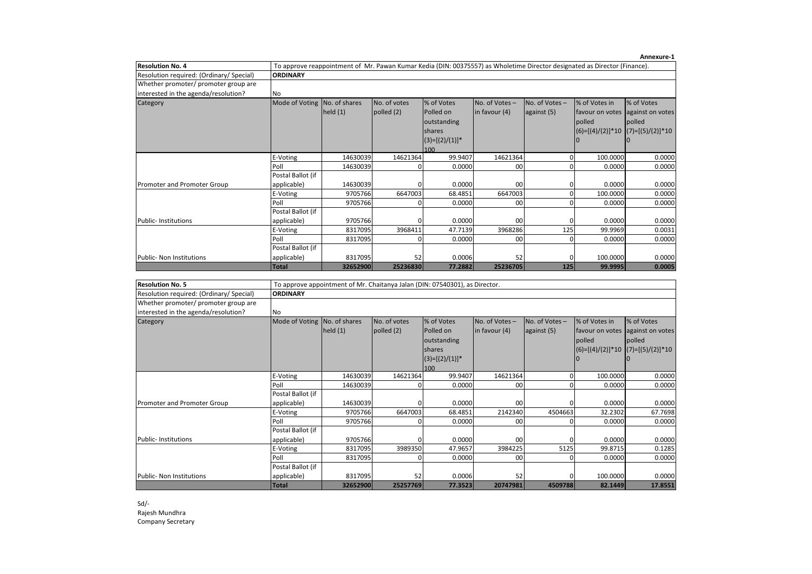|                                          |                              |                                                                                                                           |              |                    |                  |               |               | Annexure-1                              |
|------------------------------------------|------------------------------|---------------------------------------------------------------------------------------------------------------------------|--------------|--------------------|------------------|---------------|---------------|-----------------------------------------|
| <b>Resolution No. 4</b>                  |                              | To approve reappointment of Mr. Pawan Kumar Kedia (DIN: 00375557) as Wholetime Director designated as Director (Finance). |              |                    |                  |               |               |                                         |
| Resolution required: (Ordinary/ Special) | <b>ORDINARY</b>              |                                                                                                                           |              |                    |                  |               |               |                                         |
| Whether promoter/ promoter group are     |                              |                                                                                                                           |              |                    |                  |               |               |                                         |
| interested in the agenda/resolution?     | <b>No</b>                    |                                                                                                                           |              |                    |                  |               |               |                                         |
| Category                                 | Mode of Voting No. of shares |                                                                                                                           | No. of votes | % of Votes         | No. of Votes-    | No. of Votes- | % of Votes in | % of Votes                              |
|                                          |                              | held(1)                                                                                                                   | polled $(2)$ | Polled on          | $\ln$ favour (4) | against (5)   |               | favour on votes against on votes        |
|                                          |                              |                                                                                                                           |              | outstanding        |                  |               | <b>polled</b> | polled                                  |
|                                          |                              |                                                                                                                           |              | <b>shares</b>      |                  |               |               | $ (6)=[(4)/(2)]*10$ $ (7)=[(5)/(2)]*10$ |
|                                          |                              |                                                                                                                           |              | $ (3)=[(2)/(1)]^*$ |                  |               |               |                                         |
|                                          |                              |                                                                                                                           |              | 100                |                  |               |               |                                         |
|                                          | E-Voting                     | 14630039                                                                                                                  | 14621364     | 99.9407            | 14621364         | 0             | 100.0000      | 0.0000                                  |
|                                          | Poll                         | 14630039                                                                                                                  | 0            | 0.0000             | 00               |               | 0.0000        | 0.0000                                  |
|                                          | Postal Ballot (if            |                                                                                                                           |              |                    |                  |               |               |                                         |
| Promoter and Promoter Group              | applicable)                  | 14630039                                                                                                                  |              | 0.0000             | 00               |               | 0.0000        | 0.0000                                  |
|                                          | E-Voting                     | 9705766                                                                                                                   | 6647003      | 68.4851            | 6647003          | 0             | 100.0000      | 0.0000                                  |
|                                          | Poll                         | 9705766                                                                                                                   | 0            | 0.0000             | 00               | <sup>0</sup>  | 0.0000        | 0.0000                                  |
|                                          | Postal Ballot (if            |                                                                                                                           |              |                    |                  |               |               |                                         |
| <b>Public-Institutions</b>               | applicable)                  | 9705766                                                                                                                   | 0            | 0.0000             | 00               | O             | 0.0000        | 0.0000                                  |
|                                          | E-Voting                     | 8317095                                                                                                                   | 3968411      | 47.7139            | 3968286          | 125           | 99.9969       | 0.0031                                  |
|                                          | Poll                         | 8317095                                                                                                                   | 0            | 0.0000             | 00               |               | 0.0000        | 0.0000                                  |
|                                          | Postal Ballot (if            |                                                                                                                           |              |                    |                  |               |               |                                         |
| <b>Public- Non Institutions</b>          | applicable)                  | 8317095                                                                                                                   | 52           | 0.0006             | 52               | 0             | 100.0000      | 0.0000                                  |
|                                          | <b>Total</b>                 | 32652900                                                                                                                  | 25236830     | 77.2882            | 25236705         | 125           | 99.9995       | 0.0005                                  |

| <b>Resolution No. 5</b>                  |                              | To approve appointment of Mr. Chaitanya Jalan (DIN: 07540301), as Director. |              |                   |                 |                |                 |                                       |  |  |  |
|------------------------------------------|------------------------------|-----------------------------------------------------------------------------|--------------|-------------------|-----------------|----------------|-----------------|---------------------------------------|--|--|--|
| Resolution required: (Ordinary/ Special) | <b>ORDINARY</b>              |                                                                             |              |                   |                 |                |                 |                                       |  |  |  |
| Whether promoter/ promoter group are     |                              |                                                                             |              |                   |                 |                |                 |                                       |  |  |  |
| interested in the agenda/resolution?     | <b>No</b>                    |                                                                             |              |                   |                 |                |                 |                                       |  |  |  |
| Category                                 | Mode of Voting No. of shares |                                                                             | No. of votes | % of Votes        | No. of Votes-   | No. of Votes - | % of Votes in   | % of Votes                            |  |  |  |
|                                          |                              | held $(1)$                                                                  | polled (2)   | Polled on         | in favour (4)   | against (5)    | favour on votes | against on votes                      |  |  |  |
|                                          |                              |                                                                             |              | outstanding       |                 |                | polled          | polled                                |  |  |  |
|                                          |                              |                                                                             |              | shares            |                 |                |                 | $(6)=[(4)/(2)]*10$ $(7)=[(5)/(2)]*10$ |  |  |  |
|                                          |                              |                                                                             |              | $(3)=[(2)/(1)]$ * |                 |                |                 |                                       |  |  |  |
|                                          |                              |                                                                             |              | 100               |                 |                |                 |                                       |  |  |  |
|                                          | E-Voting                     | 14630039                                                                    | 14621364     | 99.9407           | 14621364        |                | 100.0000        | 0.0000                                |  |  |  |
|                                          | Poll                         | 14630039                                                                    |              | 0.0000            | 00 <sup>1</sup> | <sup>0</sup>   | 0.0000          | 0.0000                                |  |  |  |
|                                          | Postal Ballot (if            |                                                                             |              |                   |                 |                |                 |                                       |  |  |  |
| Promoter and Promoter Group              | applicable)                  | 14630039                                                                    |              | 0.0000            | 00 <sup>1</sup> |                | 0.0000          | 0.0000                                |  |  |  |
|                                          | E-Voting                     | 9705766                                                                     | 6647003      | 68.4851           | 2142340         | 4504663        | 32.2302         | 67.7698                               |  |  |  |
|                                          | Poll                         | 9705766                                                                     |              | 0.0000            | 00              |                | 0.0000          | 0.0000                                |  |  |  |
|                                          | Postal Ballot (if            |                                                                             |              |                   |                 |                |                 |                                       |  |  |  |
| <b>Public-Institutions</b>               | applicable)                  | 9705766                                                                     |              | 0.0000            | 00 <sup>1</sup> |                | 0.0000          | 0.0000                                |  |  |  |
|                                          | E-Voting                     | 8317095                                                                     | 3989350      | 47.9657           | 3984225         | 5125           | 99.8715         | 0.1285                                |  |  |  |
|                                          | Poll                         | 8317095                                                                     |              | 0.0000            | 00 <sup>1</sup> |                | 0.0000          | 0.0000                                |  |  |  |
|                                          | Postal Ballot (if            |                                                                             |              |                   |                 |                |                 |                                       |  |  |  |
| Public- Non Institutions                 | applicable)                  | 8317095                                                                     | 52           | 0.0006            | 52              |                | 100.0000        | 0.0000                                |  |  |  |
|                                          | <b>Total</b>                 | 32652900                                                                    | 25257769     | 77.3523           | 20747981        | 4509788        | 82.1449         | 17.8551                               |  |  |  |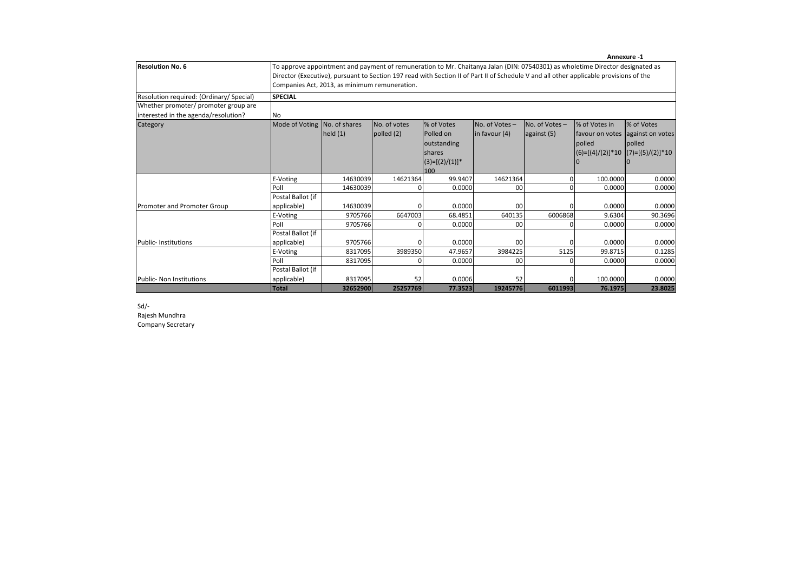|                                                                              |                              |                                                                                                                                                                                                                                                                                                                          |              |                   |                  |               |                 | Annexure -1                           |  |  |  |  |
|------------------------------------------------------------------------------|------------------------------|--------------------------------------------------------------------------------------------------------------------------------------------------------------------------------------------------------------------------------------------------------------------------------------------------------------------------|--------------|-------------------|------------------|---------------|-----------------|---------------------------------------|--|--|--|--|
| <b>Resolution No. 6</b>                                                      |                              | To approve appointment and payment of remuneration to Mr. Chaitanya Jalan (DIN: 07540301) as wholetime Director designated as<br>Director (Executive), pursuant to Section 197 read with Section II of Part II of Schedule V and all other applicable provisions of the<br>Companies Act, 2013, as minimum remuneration. |              |                   |                  |               |                 |                                       |  |  |  |  |
| Resolution required: (Ordinary/ Special)                                     | <b>SPECIAL</b>               |                                                                                                                                                                                                                                                                                                                          |              |                   |                  |               |                 |                                       |  |  |  |  |
| Whether promoter/ promoter group are<br>interested in the agenda/resolution? | <b>No</b>                    |                                                                                                                                                                                                                                                                                                                          |              |                   |                  |               |                 |                                       |  |  |  |  |
| Category                                                                     | Mode of Voting No. of shares |                                                                                                                                                                                                                                                                                                                          | No. of votes | % of Votes        | No. of Votes-    | No. of Votes- | % of Votes in   | % of Votes                            |  |  |  |  |
|                                                                              |                              | held(1)                                                                                                                                                                                                                                                                                                                  | polled (2)   | Polled on         | $\ln$ favour (4) | against (5)   | favour on votes | against on votes                      |  |  |  |  |
|                                                                              |                              |                                                                                                                                                                                                                                                                                                                          |              | outstanding       |                  |               | polled          | polled                                |  |  |  |  |
|                                                                              |                              |                                                                                                                                                                                                                                                                                                                          |              | shares            |                  |               |                 | $ (6)=[(4)/(2)]*10 (7)=[(5)/(2)]*10 $ |  |  |  |  |
|                                                                              |                              |                                                                                                                                                                                                                                                                                                                          |              | $(3)=[(2)/(1)]^*$ |                  |               |                 |                                       |  |  |  |  |
|                                                                              |                              |                                                                                                                                                                                                                                                                                                                          |              | 100               |                  |               |                 |                                       |  |  |  |  |
|                                                                              | E-Voting                     | 14630039                                                                                                                                                                                                                                                                                                                 | 14621364     | 99.9407           | 14621364         | $\Omega$      | 100.0000        | 0.0000                                |  |  |  |  |
|                                                                              | Poll                         | 14630039                                                                                                                                                                                                                                                                                                                 | n            | 0.0000            | 00 <sup>1</sup>  | $\Omega$      | 0.0000          | 0.0000                                |  |  |  |  |
|                                                                              | Postal Ballot (if            |                                                                                                                                                                                                                                                                                                                          |              |                   |                  |               |                 |                                       |  |  |  |  |
| Promoter and Promoter Group                                                  | applicable)                  | 14630039                                                                                                                                                                                                                                                                                                                 |              | 0.0000            | 00 <sup>1</sup>  | $\Omega$      | 0.0000          | 0.0000                                |  |  |  |  |
|                                                                              | E-Voting                     | 9705766                                                                                                                                                                                                                                                                                                                  | 6647003      | 68.4851           | 640135           | 6006868       | 9.6304          | 90.3696                               |  |  |  |  |
|                                                                              | Poll                         | 9705766                                                                                                                                                                                                                                                                                                                  |              | 0.0000            | 00 <sup>1</sup>  | $\Omega$      | 0.0000          | 0.0000                                |  |  |  |  |
|                                                                              | Postal Ballot (if            |                                                                                                                                                                                                                                                                                                                          |              |                   |                  |               |                 |                                       |  |  |  |  |
| <b>Public-Institutions</b>                                                   | applicable)                  | 9705766                                                                                                                                                                                                                                                                                                                  |              | 0.0000            | 00 <sup>1</sup>  | $\Omega$      | 0.0000          | 0.0000                                |  |  |  |  |
|                                                                              | E-Voting                     | 8317095                                                                                                                                                                                                                                                                                                                  | 3989350      | 47.9657           | 3984225          | 5125          | 99.8715         | 0.1285                                |  |  |  |  |
|                                                                              | Poll                         | 8317095                                                                                                                                                                                                                                                                                                                  |              | 0.0000            | 00 <sup>1</sup>  | $\Omega$      | 0.0000          | 0.0000                                |  |  |  |  |
|                                                                              | Postal Ballot (if            |                                                                                                                                                                                                                                                                                                                          |              |                   |                  |               |                 |                                       |  |  |  |  |
| <b>Public- Non Institutions</b>                                              | applicable)                  | 8317095                                                                                                                                                                                                                                                                                                                  | 52           | 0.0006            | 52               | $\Omega$      | 100.0000        | 0.0000                                |  |  |  |  |
|                                                                              | <b>Total</b>                 | 32652900                                                                                                                                                                                                                                                                                                                 | 25257769     | 77.3523           | 19245776         | 6011993       | 76.1975         | 23.8025                               |  |  |  |  |

Sd/- Rajesh Mundhra Company Secretary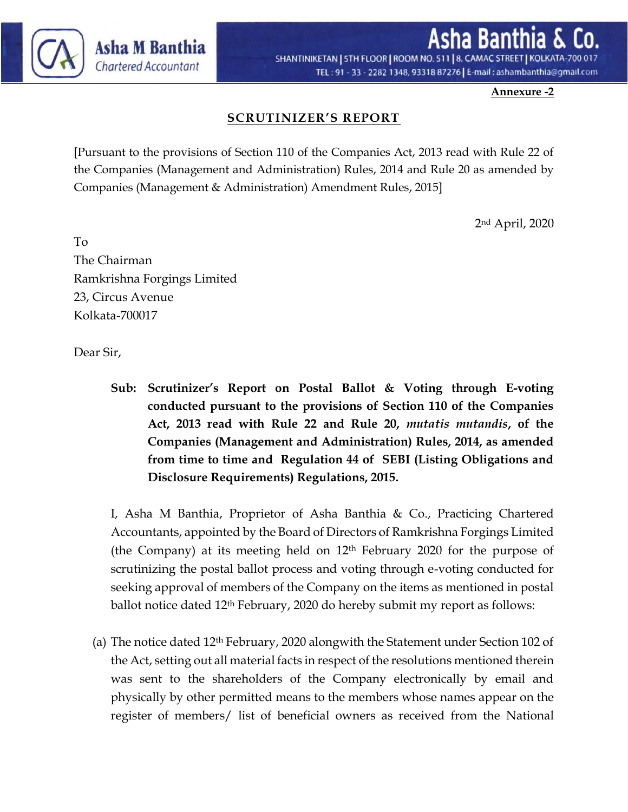

SHANTINIKETAN | STH FLOOR | ROOM NO. 511 | 8, CAMAC STREET | KOLKATA-700 TEL: 91 - 33 - 2282 1348, 93318 87276 | E-mail: ashambanthia@gmail.com

**Annexure -2**

## **SCRUTINIZER'S REPORT**

[Pursuant to the provisions of Section 110 of the Companies Act, 2013 read with Rule 22 of the Companies (Management and Administration) Rules, 2014 and Rule 20 as amended by Companies (Management & Administration) Amendment Rules, 2015]

2nd April, 2020

To The Chairman Ramkrishna Forgings Limited 23, Circus Avenue Kolkata-700017

Dear Sir,

**Sub: Scrutinizer's Report on Postal Ballot & Voting through E-voting conducted pursuant to the provisions of Section 110 of the Companies Act, 2013 read with Rule 22 and Rule 20,** *mutatis mutandis***, of the Companies (Management and Administration) Rules, 2014, as amended from time to time and Regulation 44 of SEBI (Listing Obligations and Disclosure Requirements) Regulations, 2015.** 

I, Asha M Banthia, Proprietor of Asha Banthia & Co., Practicing Chartered Accountants, appointed by the Board of Directors of Ramkrishna Forgings Limited (the Company) at its meeting held on 12th February 2020 for the purpose of scrutinizing the postal ballot process and voting through e-voting conducted for seeking approval of members of the Company on the items as mentioned in postal ballot notice dated 12th February, 2020 do hereby submit my report as follows:

(a) The notice dated 12th February, 2020 alongwith the Statement under Section 102 of the Act, setting out all material facts in respect of the resolutions mentioned therein was sent to the shareholders of the Company electronically by email and physically by other permitted means to the members whose names appear on the register of members/ list of beneficial owners as received from the National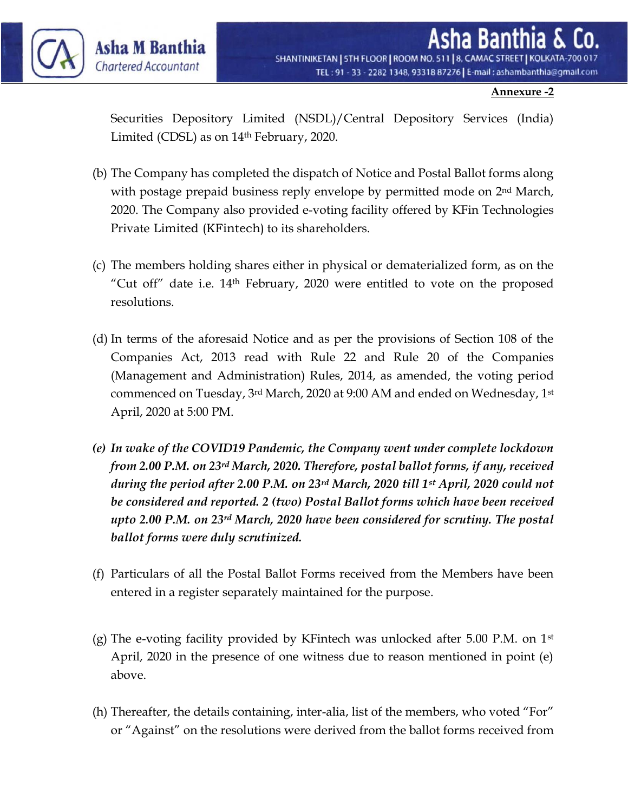

#### **Annexure -2**

Securities Depository Limited (NSDL)/Central Depository Services (India) Limited (CDSL) as on 14th February, 2020.

- (b) The Company has completed the dispatch of Notice and Postal Ballot forms along with postage prepaid business reply envelope by permitted mode on 2<sup>nd</sup> March, 2020. The Company also provided e-voting facility offered by KFin Technologies Private Limited (KFintech) to its shareholders.
- (c) The members holding shares either in physical or dematerialized form, as on the "Cut off" date i.e.  $14<sup>th</sup>$  February, 2020 were entitled to vote on the proposed resolutions.
- (d) In terms of the aforesaid Notice and as per the provisions of Section 108 of the Companies Act, 2013 read with Rule 22 and Rule 20 of the Companies (Management and Administration) Rules, 2014, as amended, the voting period commenced on Tuesday, 3rd March, 2020 at 9:00 AM and ended on Wednesday, 1st April, 2020 at 5:00 PM.
- *(e) In wake of the COVID19 Pandemic, the Company went under complete lockdown from 2.00 P.M. on 23rd March, 2020. Therefore, postal ballot forms, if any, received during the period after 2.00 P.M. on 23rd March, 2020 till 1st April, 2020 could not be considered and reported. 2 (two) Postal Ballot forms which have been received upto 2.00 P.M. on 23rd March, 2020 have been considered for scrutiny. The postal ballot forms were duly scrutinized.*
- (f) Particulars of all the Postal Ballot Forms received from the Members have been entered in a register separately maintained for the purpose.
- (g) The e-voting facility provided by KFintech was unlocked after 5.00 P.M. on  $1<sup>st</sup>$ April, 2020 in the presence of one witness due to reason mentioned in point (e) above.
- (h) Thereafter, the details containing, inter-alia, list of the members, who voted "For" or "Against" on the resolutions were derived from the ballot forms received from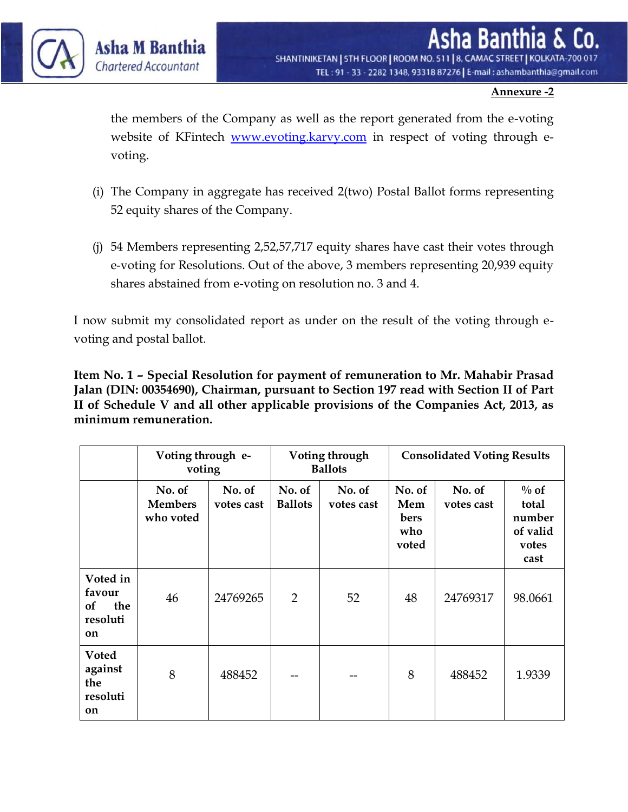

SHANTINIKETAN | 5TH FLOOR | ROOM NO. 511 | 8, CAMAC STREET | KOLKATA-700 017 TEL: 91 - 33 - 2282 1348, 93318 87276 | E-mail: ashambanthia@gmail.com

#### **Annexure -2**

the members of the Company as well as the report generated from the e-voting website of KFintech [www.evoting.karvy.com](http://www.evoting.karvy.com/) in respect of voting through evoting.

- (i) The Company in aggregate has received 2(two) Postal Ballot forms representing 52 equity shares of the Company.
- (j) 54 Members representing 2,52,57,717 equity shares have cast their votes through e-voting for Resolutions. Out of the above, 3 members representing 20,939 equity shares abstained from e-voting on resolution no. 3 and 4.

I now submit my consolidated report as under on the result of the voting through evoting and postal ballot.

**Item No. 1 – Special Resolution for payment of remuneration to Mr. Mahabir Prasad Jalan (DIN: 00354690), Chairman, pursuant to Section 197 read with Section II of Part II of Schedule V and all other applicable provisions of the Companies Act, 2013, as minimum remuneration.**

|                                                          | Voting through e-<br>voting           |                      |                          | Voting through<br><b>Ballots</b> | <b>Consolidated Voting Results</b>    |                      |                                                         |  |
|----------------------------------------------------------|---------------------------------------|----------------------|--------------------------|----------------------------------|---------------------------------------|----------------------|---------------------------------------------------------|--|
|                                                          | No. of<br><b>Members</b><br>who voted | No. of<br>votes cast | No. of<br><b>Ballots</b> | No. of<br>votes cast             | No. of<br>Mem<br>bers<br>who<br>voted | No. of<br>votes cast | $\%$ of<br>total<br>number<br>of valid<br>votes<br>cast |  |
| Voted in<br>favour<br>the<br><b>of</b><br>resoluti<br>on | 46                                    | 24769265             | $\overline{2}$           | 52                               | 48                                    | 24769317             | 98.0661                                                 |  |
| <b>Voted</b><br>against<br>the<br>resoluti<br>on         | 8                                     | 488452               |                          | --                               | 8                                     | 488452               | 1.9339                                                  |  |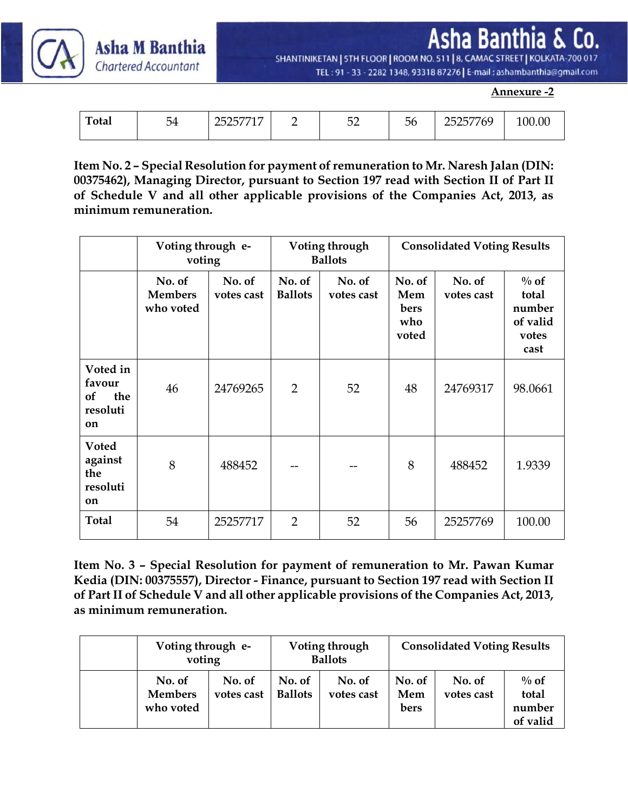Asha Ban Co.

SHANTINIKETAN | STH FLOOR | ROOM NO. 511 | 8, CAMAC STREET | KOLKATA-700 017 TEL: 91 - 33 - 2282 1348, 93318 87276 | E-mail: ashambanthia@gmail.com

**Annexure -2**

| <b>Total</b> | -<br>$\overline{\phantom{a}}$<br>◡≖ | $\overline{\phantom{a}}$<br>، ت س | $ \sim$<br>◡∸ | эo | , _ , _ _ <del>,</del> _<br>$\sim$ $\sim$<br>766<br>$\overline{\phantom{a}}$<br>$\sim$<br>، ت س | .00 |
|--------------|-------------------------------------|-----------------------------------|---------------|----|-------------------------------------------------------------------------------------------------|-----|
|              |                                     |                                   |               |    |                                                                                                 |     |

Asha M Banthia

**Chartered Accountant** 

**Item No. 2 – Special Resolution for payment of remuneration to Mr. Naresh Jalan (DIN: 00375462), Managing Director, pursuant to Section 197 read with Section II of Part II of Schedule V and all other applicable provisions of the Companies Act, 2013, as minimum remuneration.** 

|                                                                     | Voting through e-<br>voting           |                      |                          | Voting through<br><b>Ballots</b> | <b>Consolidated Voting Results</b>    |                      |                                                         |  |
|---------------------------------------------------------------------|---------------------------------------|----------------------|--------------------------|----------------------------------|---------------------------------------|----------------------|---------------------------------------------------------|--|
|                                                                     | No. of<br><b>Members</b><br>who voted | No. of<br>votes cast | No. of<br><b>Ballots</b> | No. of<br>votes cast             | No. of<br>Mem<br>bers<br>who<br>voted | No. of<br>votes cast | $\%$ of<br>total<br>number<br>of valid<br>votes<br>cast |  |
| Voted in<br>favour<br>the<br><b>of</b><br>resoluti<br><sub>on</sub> | 46                                    | 24769265             | $\overline{2}$           | 52                               | 48                                    | 24769317             | 98.0661                                                 |  |
| <b>Voted</b><br>against<br>the<br>resoluti<br>on                    | 8                                     | 488452               |                          |                                  | 8                                     | 488452               | 1.9339                                                  |  |
| <b>Total</b>                                                        | 54                                    | 25257717             | $\overline{2}$           | 52                               | 56                                    | 25257769             | 100.00                                                  |  |

**Item No. 3 – Special Resolution for payment of remuneration to Mr. Pawan Kumar Kedia (DIN: 00375557), Director - Finance, pursuant to Section 197 read with Section II of Part II of Schedule V and all other applicable provisions of the Companies Act, 2013, as minimum remuneration.** 

| Voting through e-<br>voting           |                      |                          | Voting through<br><b>Ballots</b> | <b>Consolidated Voting Results</b> |                      |                                        |  |
|---------------------------------------|----------------------|--------------------------|----------------------------------|------------------------------------|----------------------|----------------------------------------|--|
| No. of<br><b>Members</b><br>who voted | No. of<br>votes cast | No. of<br><b>Ballots</b> | No. of<br>votes cast             | No. of<br>Mem<br>bers              | No. of<br>votes cast | $\%$ of<br>total<br>number<br>of valid |  |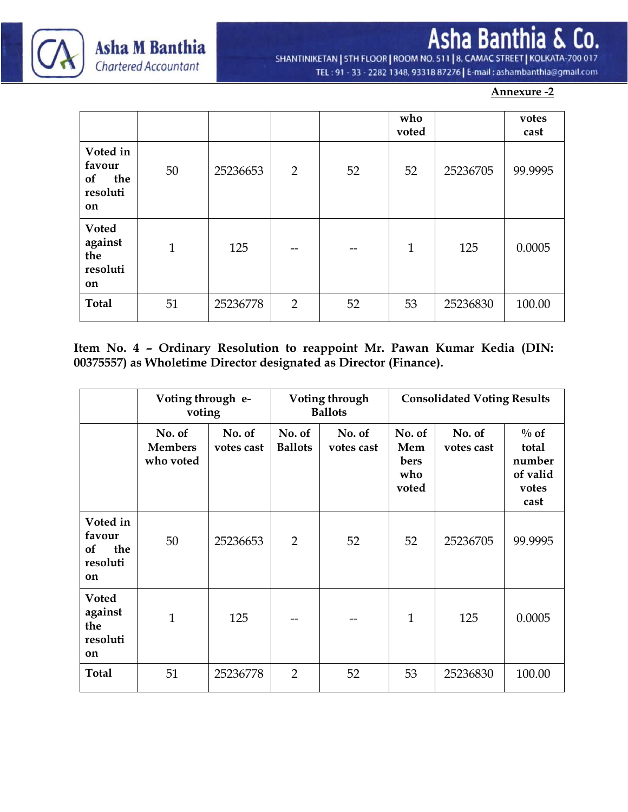

Asha Banthia & Co. SHANTINIKETAN | STH FLOOR | ROOM NO. 511 | 8, CAMAC STREET | KOLKATA-700 017

TEL: 91 - 33 - 2282 1348, 93318 87276 | E-mail: ashambanthia@gmail.com

#### **Annexure -2**

|                                                          |              |          |                |    | who<br>voted |          | votes<br>cast |
|----------------------------------------------------------|--------------|----------|----------------|----|--------------|----------|---------------|
| Voted in<br>favour<br>the<br><b>of</b><br>resoluti<br>on | 50           | 25236653 | $\overline{2}$ | 52 | 52           | 25236705 | 99.9995       |
| <b>Voted</b><br>against<br>the<br>resoluti<br>on         | $\mathbf{1}$ | 125      | --             | -- | $\mathbf{1}$ | 125      | 0.0005        |
| <b>Total</b>                                             | 51           | 25236778 | $\overline{2}$ | 52 | 53           | 25236830 | 100.00        |

**Item No. 4 – Ordinary Resolution to reappoint Mr. Pawan Kumar Kedia (DIN: 00375557) as Wholetime Director designated as Director (Finance).**

|                                                   | Voting through e-<br>voting           |                      |                          | Voting through<br><b>Ballots</b> | <b>Consolidated Voting Results</b>    |                      |                                                         |  |
|---------------------------------------------------|---------------------------------------|----------------------|--------------------------|----------------------------------|---------------------------------------|----------------------|---------------------------------------------------------|--|
|                                                   | No. of<br><b>Members</b><br>who voted | No. of<br>votes cast | No. of<br><b>Ballots</b> | No. of<br>votes cast             | No. of<br>Mem<br>bers<br>who<br>voted | No. of<br>votes cast | $\%$ of<br>total<br>number<br>of valid<br>votes<br>cast |  |
| Voted in<br>favour<br>the<br>of<br>resoluti<br>on | 50                                    | 25236653             | 2                        | 52                               | 52                                    | 25236705             | 99.9995                                                 |  |
| <b>Voted</b><br>against<br>the<br>resoluti<br>on  | $\mathbf{1}$                          | 125                  |                          | --                               | $\mathbf{1}$                          | 125                  | 0.0005                                                  |  |
| <b>Total</b>                                      | 51                                    | 25236778             | $\overline{2}$           | 52                               | 53                                    | 25236830             | 100.00                                                  |  |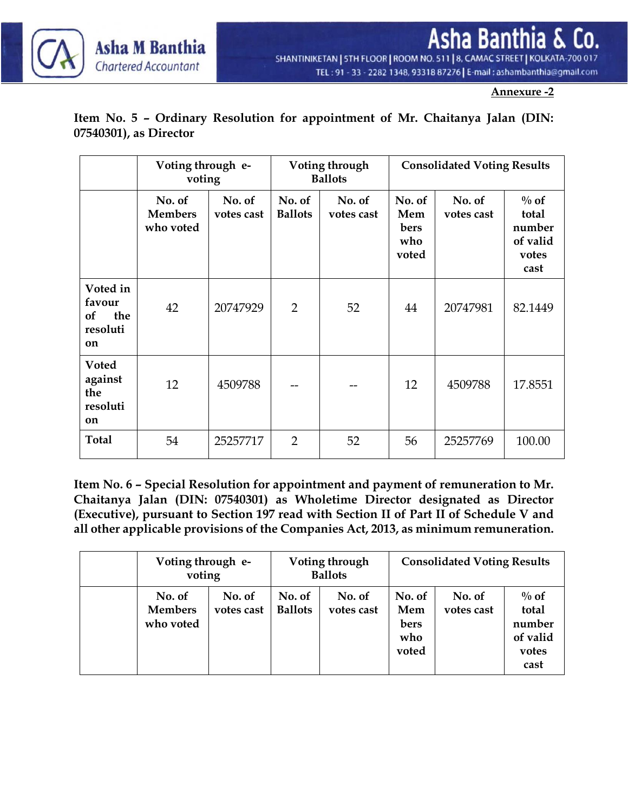

**Annexure -2**

### **Item No. 5 – Ordinary Resolution for appointment of Mr. Chaitanya Jalan (DIN: 07540301), as Director**

|                                                   | Voting through e-<br>voting           |                      | Voting through<br><b>Ballots</b> |                      | <b>Consolidated Voting Results</b>    |                      |                                                         |
|---------------------------------------------------|---------------------------------------|----------------------|----------------------------------|----------------------|---------------------------------------|----------------------|---------------------------------------------------------|
|                                                   | No. of<br><b>Members</b><br>who voted | No. of<br>votes cast | No. of<br><b>Ballots</b>         | No. of<br>votes cast | No. of<br>Mem<br>bers<br>who<br>voted | No. of<br>votes cast | $\%$ of<br>total<br>number<br>of valid<br>votes<br>cast |
| Voted in<br>favour<br>the<br>of<br>resoluti<br>on | 42                                    | 20747929             | 2                                | 52                   | 44                                    | 20747981             | 82.1449                                                 |
| <b>Voted</b><br>against<br>the<br>resoluti<br>on  | 12                                    | 4509788              |                                  |                      | 12                                    | 4509788              | 17.8551                                                 |
| <b>Total</b>                                      | 54                                    | 25257717             | $\overline{2}$                   | 52                   | 56                                    | 25257769             | 100.00                                                  |

**Item No. 6 – Special Resolution for appointment and payment of remuneration to Mr. Chaitanya Jalan (DIN: 07540301) as Wholetime Director designated as Director (Executive), pursuant to Section 197 read with Section II of Part II of Schedule V and all other applicable provisions of the Companies Act, 2013, as minimum remuneration.**

| Voting through e-<br>voting           |                      | Voting through<br><b>Ballots</b> |                      | <b>Consolidated Voting Results</b>    |                      |                                                         |
|---------------------------------------|----------------------|----------------------------------|----------------------|---------------------------------------|----------------------|---------------------------------------------------------|
| No. of<br><b>Members</b><br>who voted | No. of<br>votes cast | No. of<br><b>Ballots</b>         | No. of<br>votes cast | No. of<br>Mem<br>bers<br>who<br>voted | No. of<br>votes cast | $\%$ of<br>total<br>number<br>of valid<br>votes<br>cast |